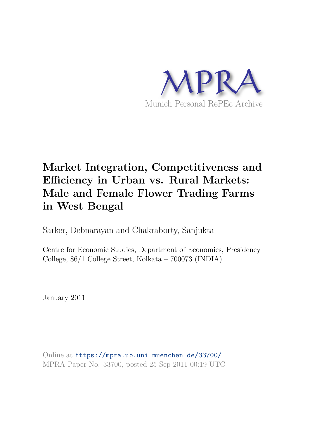

# **Market Integration, Competitiveness and Efficiency in Urban vs. Rural Markets: Male and Female Flower Trading Farms in West Bengal**

Sarker, Debnarayan and Chakraborty, Sanjukta

Centre for Economic Studies, Department of Economics, Presidency College, 86/1 College Street, Kolkata – 700073 (INDIA)

January 2011

Online at https://mpra.ub.uni-muenchen.de/33700/ MPRA Paper No. 33700, posted 25 Sep 2011 00:19 UTC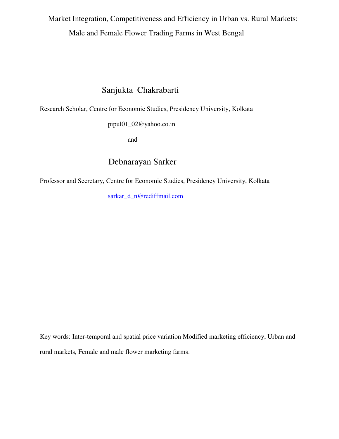Market Integration, Competitiveness and Efficiency in Urban vs. Rural Markets: Male and Female Flower Trading Farms in West Bengal

## Sanjukta Chakrabarti

Research Scholar, Centre for Economic Studies, Presidency University, Kolkata

pipul01\_02@yahoo.co.in

and

## Debnarayan Sarker

Professor and Secretary, Centre for Economic Studies, Presidency University, Kolkata

[sarkar\\_d\\_n@rediffmail.com](mailto:sarkar_d_n@rediffmail.com)

Key words: Inter-temporal and spatial price variation Modified marketing efficiency, Urban and rural markets, Female and male flower marketing farms.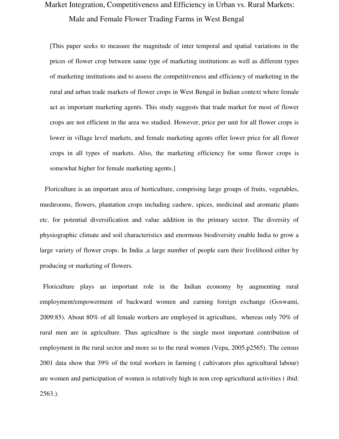## Market Integration, Competitiveness and Efficiency in Urban vs. Rural Markets: Male and Female Flower Trading Farms in West Bengal

[This paper seeks to measure the magnitude of inter temporal and spatial variations in the prices of flower crop between same type of marketing institutions as well as different types of marketing institutions and to assess the competitiveness and efficiency of marketing in the rural and urban trade markets of flower crops in West Bengal in Indian context where female act as important marketing agents. This study suggests that trade market for most of flower crops are not efficient in the area we studied. However, price per unit for all flower crops is lower in village level markets, and female marketing agents offer lower price for all flower crops in all types of markets. Also, the marketing efficiency for some flower crops is somewhat higher for female marketing agents.]

 Floriculture is an important area of horticulture, comprising large groups of fruits, vegetables, mushrooms, flowers, plantation crops including cashew, spices, medicinal and aromatic plants etc. for potential diversification and value addition in the primary sector. The diversity of physiographic climate and soil characteristics and enormous biodiversity enable India to grow a large variety of flower crops. In India ,a large number of people earn their livelihood either by producing or marketing of flowers.

 Floriculture plays an important role in the Indian economy by augmenting rural employment/empowerment of backward women and earning foreign exchange (Goswami, 2009:85). About 80% of all female workers are employed in agriculture, whereas only 70% of rural men are in agriculture. Thus agriculture is the single most important contribution of employment in the rural sector and more so to the rural women (Vepa, 2005.p2565). The census 2001 data show that 39% of the total workers in farming ( cultivators plus agricultural labour) are women and participation of women is relatively high in non crop agricultural activities ( ibid: 2563.).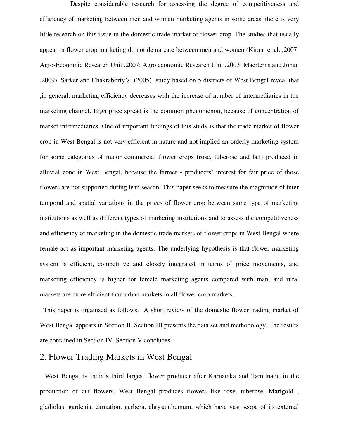Despite considerable research for assessing the degree of competitiveness and efficiency of marketing between men and women marketing agents in some areas, there is very little research on this issue in the domestic trade market of flower crop. The studies that usually appear in flower crop marketing do not demarcate between men and women (Kiran et.al. ,2007; Agro-Economic Research Unit ,2007; Agro economic Research Unit ,2003; Maerterns and Johan ,2009). Sarker and Chakraborty"s (2005) study based on 5 districts of West Bengal reveal that ,in general, marketing efficiency decreases with the increase of number of intermediaries in the marketing channel. High price spread is the common phenomenon, because of concentration of market intermediaries. One of important findings of this study is that the trade market of flower crop in West Bengal is not very efficient in nature and not implied an orderly marketing system for some categories of major commercial flower crops (rose, tuberose and bel) produced in alluvial zone in West Bengal, because the farmer - producers' interest for fair price of those flowers are not supported during lean season. This paper seeks to measure the magnitude of inter temporal and spatial variations in the prices of flower crop between same type of marketing institutions as well as different types of marketing institutions and to assess the competitiveness and efficiency of marketing in the domestic trade markets of flower crops in West Bengal where female act as important marketing agents. The underlying hypothesis is that flower marketing system is efficient, competitive and closely integrated in terms of price movements, and marketing efficiency is higher for female marketing agents compared with man, and rural markets are more efficient than urban markets in all flower crop markets.

 This paper is organised as follows. A short review of the domestic flower trading market of West Bengal appears in Section II. Section III presents the data set and methodology. The results are contained in Section IV. Section V concludes.

### 2. Flower Trading Markets in West Bengal

 West Bengal is India"s third largest flower producer after Karnataka and Tamilnadu in the production of cut flowers. West Bengal produces flowers like rose, tuberose, Marigold , gladiolus, gardenia, carnation, gerbera, chrysanthemum, which have vast scope of its external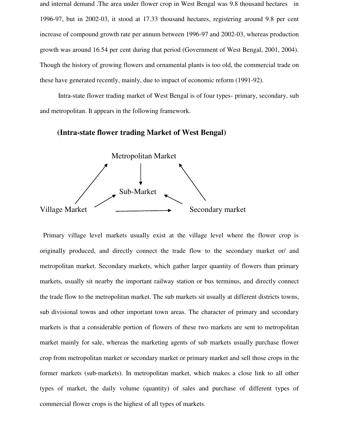and internal demand .The area under flower crop in West Bengal was 9.8 thousand hectares in 1996-97, but in 2002-03, it stood at 17.33 thousand hectares, registering around 9.8 per cent increase of compound growth rate per annum between 1996-97 and 2002-03, whereas production growth was around 16.54 per cent during that period (Government of West Bengal, 2001, 2004). Though the history of growing flowers and ornamental plants is too old, the commercial trade on these have generated recently, mainly, due to impact of economic reform (1991-92).

 Intra-state flower trading market of West Bengal is of four types- primary, secondary, sub and metropolitan. It appears in the following framework.

#### **(Intra-state flower trading Market of West Bengal)**



 Primary village level markets usually exist at the village level where the flower crop is originally produced, and directly connect the trade flow to the secondary market or/ and metropolitan market. Secondary markets, which gather larger quantity of flowers than primary markets, usually sit nearby the important railway station or bus terminus, and directly connect the trade flow to the metropolitan market. The sub markets sit usually at different districts towns, sub divisional towns and other important town areas. The character of primary and secondary markets is that a considerable portion of flowers of these two markets are sent to metropolitan market mainly for sale, whereas the marketing agents of sub markets usually purchase flower crop from metropolitan market or secondary market or primary market and sell those crops in the former markets (sub-markets). In metropolitan market, which makes a close link to all other types of market, the daily volume (quantity) of sales and purchase of different types of commercial flower crops is the highest of all types of markets.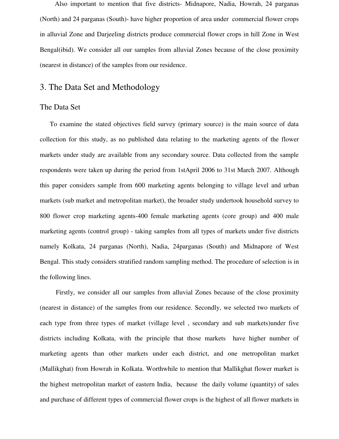Also important to mention that five districts- Midnapore, Nadia, Howrah, 24 parganas (North) and 24 parganas (South)- have higher proportion of area under commercial flower crops in alluvial Zone and Darjeeling districts produce commercial flower crops in hill Zone in West Bengal(ibid). We consider all our samples from alluvial Zones because of the close proximity (nearest in distance) of the samples from our residence.

### 3. The Data Set and Methodology

#### The Data Set

 To examine the stated objectives field survey (primary source) is the main source of data collection for this study, as no published data relating to the marketing agents of the flower markets under study are available from any secondary source. Data collected from the sample respondents were taken up during the period from 1stApril 2006 to 31st March 2007. Although this paper considers sample from 600 marketing agents belonging to village level and urban markets (sub market and metropolitan market), the broader study undertook household survey to 800 flower crop marketing agents-400 female marketing agents (core group) and 400 male marketing agents (control group) - taking samples from all types of markets under five districts namely Kolkata, 24 parganas (North), Nadia, 24parganas (South) and Midnapore of West Bengal. This study considers stratified random sampling method. The procedure of selection is in the following lines.

Firstly, we consider all our samples from alluvial Zones because of the close proximity (nearest in distance) of the samples from our residence. Secondly, we selected two markets of each type from three types of market (village level , secondary and sub markets)under five districts including Kolkata, with the principle that those markets have higher number of marketing agents than other markets under each district, and one metropolitan market (Mallikghat) from Howrah in Kolkata. Worthwhile to mention that Mallikghat flower market is the highest metropolitan market of eastern India, because the daily volume (quantity) of sales and purchase of different types of commercial flower crops is the highest of all flower markets in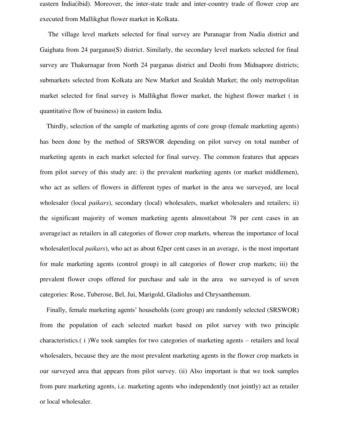eastern India(ibid). Moreover, the inter-state trade and inter-country trade of flower crop are executed from Mallikghat flower market in Kolkata.

 The village level markets selected for final survey are Puranagar from Nadia district and Gaighata from 24 parganas(S) district. Similarly, the secondary level markets selected for final survey are Thakurnagar from North 24 parganas district and Deolti from Midnapore districts; submarkets selected from Kolkata are New Market and Sealdah Market; the only metropolitan market selected for final survey is Mallikghat flower market, the highest flower market ( in quantitative flow of business) in eastern India.

 Thirdly, selection of the sample of marketing agents of core group (female marketing agents) has been done by the method of SRSWOR depending on pilot survey on total number of marketing agents in each market selected for final survey. The common features that appears from pilot survey of this study are: i) the prevalent marketing agents (or market middlemen), who act as sellers of flowers in different types of market in the area we surveyed, are local wholesaler (local *paikars*), secondary (local) wholesalers, market wholesalers and retailers; ii) the significant majority of women marketing agents almost(about 78 per cent cases in an average)act as retailers in all categories of flower crop markets, whereas the importance of local wholesaler(local *paikars*), who act as about 62per cent cases in an average, is the most important for male marketing agents (control group) in all categories of flower crop markets; iii) the prevalent flower crops offered for purchase and sale in the area we surveyed is of seven categories: Rose, Tuberose, Bel, Jui, Marigold, Gladiolus and Chrysanthemum.

Finally, female marketing agents' households (core group) are randomly selected (SRSWOR) from the population of each selected market based on pilot survey with two principle characteristics.( i )We took samples for two categories of marketing agents – retailers and local wholesalers, because they are the most prevalent marketing agents in the flower crop markets in our surveyed area that appears from pilot survey. (ii) Also important is that we took samples from pure marketing agents, i.e. marketing agents who independently (not jointly) act as retailer or local wholesaler.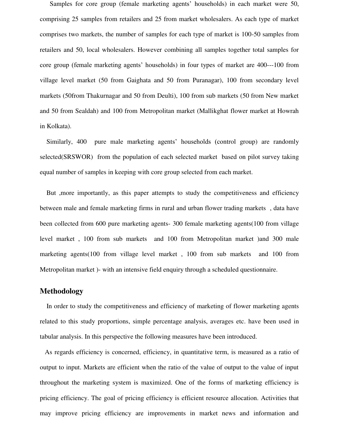Samples for core group (female marketing agents" households) in each market were 50, comprising 25 samples from retailers and 25 from market wholesalers. As each type of market comprises two markets, the number of samples for each type of market is 100-50 samples from retailers and 50, local wholesalers. However combining all samples together total samples for core group (female marketing agents" households) in four types of market are 400---100 from village level market (50 from Gaighata and 50 from Puranagar), 100 from secondary level markets (50from Thakurnagar and 50 from Deulti), 100 from sub markets (50 from New market and 50 from Sealdah) and 100 from Metropolitan market (Mallikghat flower market at Howrah in Kolkata).

Similarly, 400 pure male marketing agents' households (control group) are randomly selected(SRSWOR) from the population of each selected market based on pilot survey taking equal number of samples in keeping with core group selected from each market.

 But ,more importantly, as this paper attempts to study the competitiveness and efficiency between male and female marketing firms in rural and urban flower trading markets , data have been collected from 600 pure marketing agents- 300 female marketing agents(100 from village level market , 100 from sub markets and 100 from Metropolitan market )and 300 male marketing agents(100 from village level market , 100 from sub markets and 100 from Metropolitan market )- with an intensive field enquiry through a scheduled questionnaire.

#### **Methodology**

 In order to study the competitiveness and efficiency of marketing of flower marketing agents related to this study proportions, simple percentage analysis, averages etc. have been used in tabular analysis. In this perspective the following measures have been introduced.

 As regards efficiency is concerned, efficiency, in quantitative term, is measured as a ratio of output to input. Markets are efficient when the ratio of the value of output to the value of input throughout the marketing system is maximized. One of the forms of marketing efficiency is pricing efficiency. The goal of pricing efficiency is efficient resource allocation. Activities that may improve pricing efficiency are improvements in market news and information and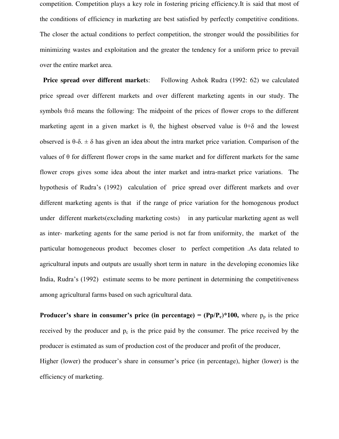competition. Competition plays a key role in fostering pricing efficiency.It is said that most of the conditions of efficiency in marketing are best satisfied by perfectly competitive conditions. The closer the actual conditions to perfect competition, the stronger would the possibilities for minimizing wastes and exploitation and the greater the tendency for a uniform price to prevail over the entire market area.

**Price spread over different markets:** Following Ashok Rudra (1992: 62) we calculated price spread over different markets and over different marketing agents in our study. The symbols  $\theta \pm \delta$  means the following: The midpoint of the prices of flower crops to the different marketing agent in a given market is  $\theta$ , the highest observed value is  $\theta$ +δ and the lowest observed is  $\theta$ -δ.  $\pm$  δ has given an idea about the intra market price variation. Comparison of the values of θ for different flower crops in the same market and for different markets for the same flower crops gives some idea about the inter market and intra-market price variations. The hypothesis of Rudra"s (1992) calculation of price spread over different markets and over different marketing agents is that if the range of price variation for the homogenous product under different markets(excluding marketing costs) in any particular marketing agent as well as inter- marketing agents for the same period is not far from uniformity, the market of the particular homogeneous product becomes closer to perfect competition .As data related to agricultural inputs and outputs are usually short term in nature in the developing economies like India, Rudra"s (1992) estimate seems to be more pertinent in determining the competitiveness among agricultural farms based on such agricultural data.

**Producer's share in consumer's price (in percentage) =**  $(\text{Pp}/\text{Pc})^*100$ **, where**  $p_p$  **is the price** received by the producer and  $p_c$  is the price paid by the consumer. The price received by the producer is estimated as sum of production cost of the producer and profit of the producer, Higher (lower) the producer's share in consumer's price (in percentage), higher (lower) is the efficiency of marketing.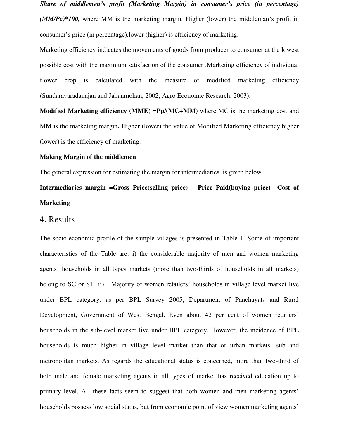*Share of middlemen's profit (Marketing Margin) in consumer's price (in percentage) (MM/Pc)\*100,* where MM is the marketing margin. Higher (lower) the middleman's profit in consumer"s price (in percentage),lower (higher) is efficiency of marketing.

Marketing efficiency indicates the movements of goods from producer to consumer at the lowest possible cost with the maximum satisfaction of the consumer .Marketing efficiency of individual flower crop is calculated with the measure of modified marketing efficiency (Sundaravaradanajan and Jahanmohan, 2002, Agro Economic Research, 2003).

**Modified Marketing efficiency (MME) =Pp/(MC+MM)** where MC is the marketing cost and MM is the marketing margin**.** Higher (lower) the value of Modified Marketing efficiency higher (lower) is the efficiency of marketing.

#### **Making Margin of the middlemen**

The general expression for estimating the margin for intermediaries is given below.

**Intermediaries margin =Gross Price(selling price) – Price Paid(buying price) –Cost of Marketing** 

#### 4. Results

The socio-economic profile of the sample villages is presented in Table 1. Some of important characteristics of the Table are: i) the considerable majority of men and women marketing agents' households in all types markets (more than two-thirds of households in all markets) belong to SC or ST. ii) Majority of women retailers' households in village level market live under BPL category, as per BPL Survey 2005, Department of Panchayats and Rural Development, Government of West Bengal. Even about 42 per cent of women retailers' households in the sub-level market live under BPL category. However, the incidence of BPL households is much higher in village level market than that of urban markets- sub and metropolitan markets. As regards the educational status is concerned, more than two-third of both male and female marketing agents in all types of market has received education up to primary level. All these facts seem to suggest that both women and men marketing agents' households possess low social status, but from economic point of view women marketing agents'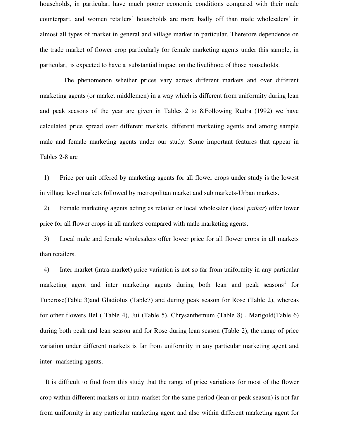households, in particular, have much poorer economic conditions compared with their male counterpart, and women retailers" households are more badly off than male wholesalers" in almost all types of market in general and village market in particular. Therefore dependence on the trade market of flower crop particularly for female marketing agents under this sample, in particular, is expected to have a substantial impact on the livelihood of those households.

 The phenomenon whether prices vary across different markets and over different marketing agents (or market middlemen) in a way which is different from uniformity during lean and peak seasons of the year are given in Tables 2 to 8.Following Rudra (1992) we have calculated price spread over different markets, different marketing agents and among sample male and female marketing agents under our study. Some important features that appear in Tables 2-8 are

1) Price per unit offered by marketing agents for all flower crops under study is the lowest in village level markets followed by metropolitan market and sub markets-Urban markets.

2) Female marketing agents acting as retailer or local wholesaler (local *paikar*) offer lower price for all flower crops in all markets compared with male marketing agents.

3) Local male and female wholesalers offer lower price for all flower crops in all markets than retailers.

4) Inter market (intra-market) price variation is not so far from uniformity in any particular marketing agent and inter marketing agents during both lean and peak seasons<sup>1</sup> for Tuberose(Table 3)and Gladiolus (Table7) and during peak season for Rose (Table 2), whereas for other flowers Bel ( Table 4), Jui (Table 5), Chrysanthemum (Table 8) , Marigold(Table 6) during both peak and lean season and for Rose during lean season (Table 2), the range of price variation under different markets is far from uniformity in any particular marketing agent and inter -marketing agents.

 It is difficult to find from this study that the range of price variations for most of the flower crop within different markets or intra-market for the same period (lean or peak season) is not far from uniformity in any particular marketing agent and also within different marketing agent for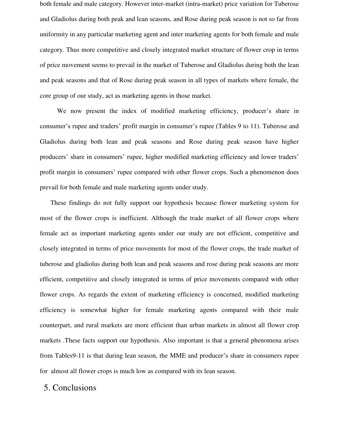both female and male category. However inter-market (intra-market) price variation for Tuberose and Gladiolus during both peak and lean seasons, and Rose during peak season is not so far from uniformity in any particular marketing agent and inter marketing agents for both female and male category. Thus more competitive and closely integrated market structure of flower crop in terms of price movement seems to prevail in the market of Tuberose and Gladiolus during both the lean and peak seasons and that of Rose during peak season in all types of markets where female, the core group of our study, act as marketing agents in those market.

We now present the index of modified marketing efficiency, producer's share in consumer's rupee and traders' profit margin in consumer's rupee (Tables 9 to 11). Tuberose and Gladiolus during both lean and peak seasons and Rose during peak season have higher producers" share in consumers" rupee, higher modified marketing efficiency and lower traders" profit margin in consumers' rupee compared with other flower crops. Such a phenomenon does prevail for both female and male marketing agents under study.

 These findings do not fully support our hypothesis because flower marketing system for most of the flower crops is inefficient. Although the trade market of all flower crops where female act as important marketing agents under our study are not efficient, competitive and closely integrated in terms of price movements for most of the flower crops, the trade market of tuberose and gladiolus during both lean and peak seasons and rose during peak seasons are more efficient, competitive and closely integrated in terms of price movements compared with other flower crops. As regards the extent of marketing efficiency is concerned, modified marketing efficiency is somewhat higher for female marketing agents compared with their male counterpart, and rural markets are more efficient than urban markets in almost all flower crop markets .These facts support our hypothesis. Also important is that a general phenomena arises from Tables9-11 is that during lean season, the MME and producer's share in consumers rupee for almost all flower crops is much low as compared with its lean season.

## 5. Conclusions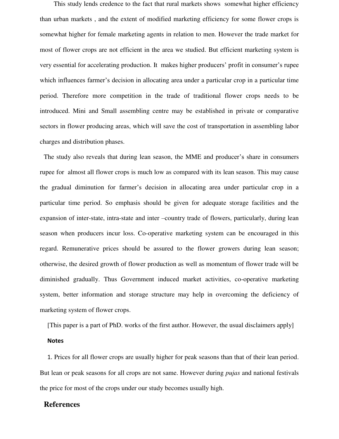This study lends credence to the fact that rural markets shows somewhat higher efficiency than urban markets , and the extent of modified marketing efficiency for some flower crops is somewhat higher for female marketing agents in relation to men. However the trade market for most of flower crops are not efficient in the area we studied. But efficient marketing system is very essential for accelerating production. It makes higher producers" profit in consumer"s rupee which influences farmer's decision in allocating area under a particular crop in a particular time period. Therefore more competition in the trade of traditional flower crops needs to be introduced. Mini and Small assembling centre may be established in private or comparative sectors in flower producing areas, which will save the cost of transportation in assembling labor charges and distribution phases.

The study also reveals that during lean season, the MME and producer's share in consumers rupee for almost all flower crops is much low as compared with its lean season. This may cause the gradual diminution for farmer"s decision in allocating area under particular crop in a particular time period. So emphasis should be given for adequate storage facilities and the expansion of inter-state, intra-state and inter –country trade of flowers, particularly, during lean season when producers incur loss. Co-operative marketing system can be encouraged in this regard. Remunerative prices should be assured to the flower growers during lean season; otherwise, the desired growth of flower production as well as momentum of flower trade will be diminished gradually. Thus Government induced market activities, co-operative marketing system, better information and storage structure may help in overcoming the deficiency of marketing system of flower crops.

[This paper is a part of PhD. works of the first author. However, the usual disclaimers apply]

#### **Notes**

1. Prices for all flower crops are usually higher for peak seasons than that of their lean period. But lean or peak seasons for all crops are not same. However during *pujas* and national festivals the price for most of the crops under our study becomes usually high.

#### **References**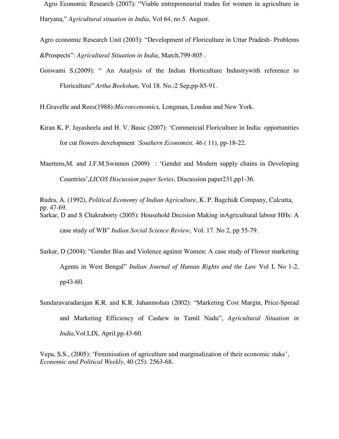Agro Economic Research (2007): "Viable entrepreneurial trades for women in agriculture in Haryana," *Agricultural situation in India*, Vol 64, no 5. August.

Agro economic Research Unit (2003): "Development of Floriculture in Uttar Pradesh- Problems &Prospects": *Agricultural Situation in India*, March,799-805 .

Goswami S.(2009): " An Analysis of the Indian Horticulture Industrywith reference to Floriculture" *Artha Beekshan*, Vol 18. No.:2 Sep,pp-85-91.

H.Gravelle and Rees(1988):*Microeconomics,* Longman, London and New York.

Kiran K, P. Jayasheela and H. V. Basic (2007): "Commercial Floriculture in India: opportunities for cut flowers development *'Southern Economist,* 46 ( 11), pp-18-22.

Maertens, M. and J.F.M.Swinnen (2009) : 'Gender and Modern supply chains in Developing Countries",*LICOS Discussion paper Series*, Discussion paper231,pp1-36.

Rudra, A. (1992), *Political Economy of Indian Agriculture*, K. P. Bagchi& Company, Calcutta, pp. 47-69. Sarkar, D and S Chakraborty (2005): Household Decision Making inAgricultural labour HHs: A case study of WB" *Indian Social Science Review*, Vol. 17. No 2, pp 55-79.

- Sarkar, D (2004): "Gender Bias and Violence against Women: A case study of Flower marketing Agents in West Bengal" *Indian Journal of Human Rights and the Law* Vol I, No 1-2, pp43-60.
- Sundaravaradarajan K.R. and K.R. Jahanmohan (2002): "Marketing Cost Margin, Price-Spread and Marketing Efficiency of Cashew in Tamil Nadu", *Agricultural Situation in India*,Vol.LIX, April.pp.43-60.

Vepa, S.S., (2005): "Feminisation of agriculture and marginalization of their economic stake", *Economic and Political Weekly*, 40 (25): 2563-68.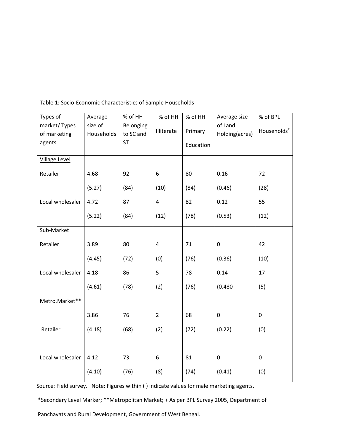| Types of                     | Average               | % of HH                | % of HH        | % of HH   | Average size              | % of BPL                |
|------------------------------|-----------------------|------------------------|----------------|-----------|---------------------------|-------------------------|
| market/Types<br>of marketing | size of<br>Households | Belonging<br>to SC and | Illiterate     | Primary   | of Land<br>Holding(acres) | Households <sup>+</sup> |
| agents                       |                       | <b>ST</b>              |                | Education |                           |                         |
| <b>Village Level</b>         |                       |                        |                |           |                           |                         |
| Retailer                     | 4.68                  | 92                     | 6              | 80        | 0.16                      | 72                      |
|                              | (5.27)                | (84)                   | (10)           | (84)      | (0.46)                    | (28)                    |
| Local wholesaler             | 4.72                  | 87                     | 4              | 82        | 0.12                      | 55                      |
|                              | (5.22)                | (84)                   | (12)           | (78)      | (0.53)                    | (12)                    |
| Sub-Market                   |                       |                        |                |           |                           |                         |
| Retailer                     | 3.89                  | 80                     | 4              | 71        | $\pmb{0}$                 | 42                      |
|                              | (4.45)                | (72)                   | (0)            | (76)      | (0.36)                    | (10)                    |
| Local wholesaler             | 4.18                  | 86                     | 5              | 78        | 0.14                      | 17                      |
|                              | (4.61)                | (78)                   | (2)            | (76)      | (0.480)                   | (5)                     |
| Metro.Market**               |                       |                        |                |           |                           |                         |
|                              | 3.86                  | 76                     | $\overline{2}$ | 68        | $\mathbf 0$               | $\pmb{0}$               |
| Retailer                     | (4.18)                | (68)                   | (2)            | (72)      | (0.22)                    | (0)                     |
|                              |                       |                        |                |           |                           |                         |
| Local wholesaler             | 4.12                  | 73                     | 6              | 81        | $\mathbf 0$               | $\mathbf 0$             |
|                              | (4.10)                | (76)                   | (8)            | (74)      | (0.41)                    | (0)                     |

Table 1: Socio-Economic Characteristics of Sample Households

Source: Field survey. Note: Figures within ( ) indicate values for male marketing agents.

\*Secondary Level Marker; \*\*Metropolitan Market; + As per BPL Survey 2005, Department of

Panchayats and Rural Development, Government of West Bengal.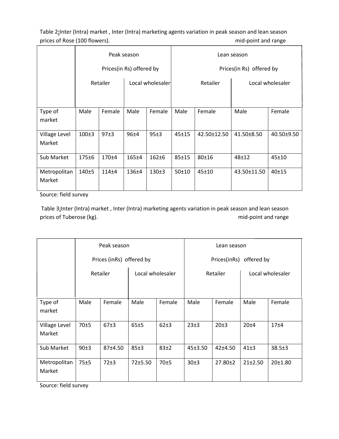Table 2**:**Inter (Intra) market , Inter (Intra) marketing agents variation in peak season and lean season prices of Rose (100 flowers). The state of Rose (100 flowers).

|                         |                              |           | Peak season              |           | Lean season                  |             |             |            |  |  |  |
|-------------------------|------------------------------|-----------|--------------------------|-----------|------------------------------|-------------|-------------|------------|--|--|--|
|                         |                              |           | Prices(in Rs) offered by |           | Prices(in Rs) offered by     |             |             |            |  |  |  |
|                         | Local wholesaler<br>Retailer |           |                          |           | Retailer<br>Local wholesaler |             |             |            |  |  |  |
|                         |                              |           |                          |           |                              |             |             |            |  |  |  |
| Type of<br>market       | Male                         | Female    | Male                     | Female    | Male                         | Female      | Male        | Female     |  |  |  |
| Village Level<br>Market | $100+3$                      | 97±3      | 96±4                     | 95±3      | 45±15                        | 42.50±12.50 | 41.50±8.50  | 40.50±9.50 |  |  |  |
| Sub Market              | 175±6                        | 170±4     | 165±4                    | $162 + 6$ | $85 + 15$                    | $80 + 16$   | $48 + 12$   | $45 + 10$  |  |  |  |
| Metropolitan<br>Market  | $140 + 5$                    | $114 + 4$ | 136 <sup>±4</sup>        | $130+3$   | 50±10                        | $45 \pm 10$ | 43.50±11.50 | 40±15      |  |  |  |

Source: field survey

 Table 3**:**Inter (Intra) market , Inter (Intra) marketing agents variation in peak season and lean season prices of Tuberose (kg). The same prices of Tuberose (kg).

|                         |      | Peak season              |                  |          | Lean season             |               |                  |                  |  |  |
|-------------------------|------|--------------------------|------------------|----------|-------------------------|---------------|------------------|------------------|--|--|
|                         |      | Prices (inRs) offered by |                  |          | Prices(inRs) offered by |               |                  |                  |  |  |
|                         |      | Retailer                 | Local wholesaler |          |                         | Retailer      | Local wholesaler |                  |  |  |
| Type of<br>market       | Male | Female                   | Male<br>Female   |          | Male                    | Female        | Male             | Female           |  |  |
| Village Level<br>Market | 70±5 | 67±3                     | 65±5             | $62\pm3$ | 23±3                    | 20±3          | 20±4             | 17 <sub>±4</sub> |  |  |
| Sub Market              | 90±3 | 87±4.50                  | 85±3             | 83±2     | 45±3.50                 | $42 + 4.50$   | $41\pm3$         | $38.5 \pm 3$     |  |  |
| Metropolitan<br>Market  | 75±5 | 72±3                     | 72±5.50          | 70±5     | 30±3                    | $27.80 \pm 2$ | 21±2.50          | 20±1.80          |  |  |

Source: field survey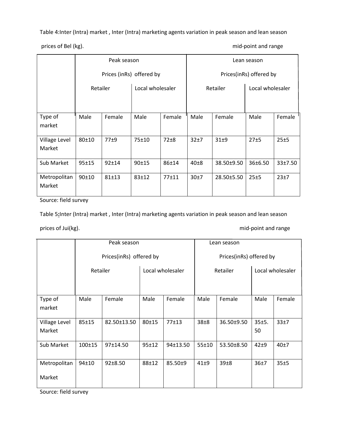Table 4:Inter (Intra) market , Inter (Intra) marketing agents variation in peak season and lean season

prices of Bel (kg). The prices of Bel (kg).

|                         |           | Peak season |                          |           | Lean season             |            |                  |         |  |  |
|-------------------------|-----------|-------------|--------------------------|-----------|-------------------------|------------|------------------|---------|--|--|
|                         |           |             | Prices (inRs) offered by |           | Prices(inRs) offered by |            |                  |         |  |  |
|                         | Retailer  |             | Local wholesaler         |           |                         | Retailer   | Local wholesaler |         |  |  |
|                         |           |             |                          |           |                         |            |                  |         |  |  |
| Type of<br>market       | Male      | Female      | Male<br>Female           |           | Male                    | Female     | Male             | Female  |  |  |
| Village Level<br>Market | $80 + 10$ | 77±9        | 75±10                    | $72\pm8$  | 32±7                    | $31\pm9$   | 27±5             | 25±5    |  |  |
| Sub Market              | $95 + 15$ | $92 + 14$   | 90±15                    | 86±14     | $40\pm8$                | 38.50±9.50 | 36±6.50          | 33±7.50 |  |  |
| Metropolitan<br>Market  | $90 + 10$ | $81 + 13$   | $83 + 12$                | $77 + 11$ | 30±7                    | 28.50±5.50 | 25±5             | 23±7    |  |  |

Source: field survey

Table 5**:**Inter (Intra) market , Inter (Intra) marketing agents variation in peak season and lean season

prices of Jui(kg). The prices of Jui(kg).

|                         |              | Peak season             |           |                         | Lean season |            |                  |        |  |  |
|-------------------------|--------------|-------------------------|-----------|-------------------------|-------------|------------|------------------|--------|--|--|
|                         |              | Prices(inRs) offered by |           | Prices(inRs) offered by |             |            |                  |        |  |  |
|                         | Retailer     |                         |           | Local wholesaler        |             | Retailer   | Local wholesaler |        |  |  |
| Type of<br>market       | Male         | Female                  | Male      | Female                  | Male        | Female     | Male             | Female |  |  |
| Village Level<br>Market | 85±15        | 82.50±13.50             | $80 + 15$ | 77±13                   | $38\pm8$    | 36.50±9.50 | 35±5.<br>50      | 33±7   |  |  |
| Sub Market              | $100 \pm 15$ | 97±14.50                | 95±12     | 94±13.50                | $55 + 10$   | 53.50±8.50 | $42+9$           | 40±7   |  |  |
| Metropolitan<br>Market  | $94 + 10$    | $92 \pm 8.50$           | $88 + 12$ | 85.50±9                 | $41\pm9$    | 39±8       | 36±7             | 35±5   |  |  |

Source: field survey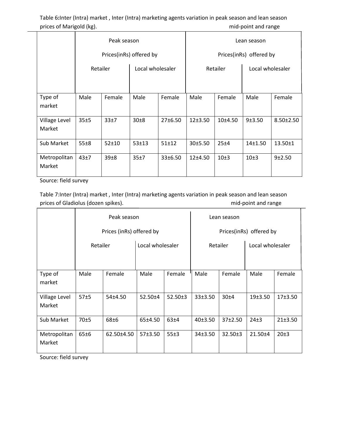Table 6**:**Inter (Intra) market , Inter (Intra) marketing agents variation in peak season and lean season prices of Marigold (kg). The mid-point and range mid-point and range

|                         |          | Peak season |                         |           | Lean season             |           |                  |                 |  |  |
|-------------------------|----------|-------------|-------------------------|-----------|-------------------------|-----------|------------------|-----------------|--|--|
|                         |          |             | Prices(inRs) offered by |           | Prices(inRs) offered by |           |                  |                 |  |  |
|                         | Retailer |             | Local wholesaler        |           |                         | Retailer  | Local wholesaler |                 |  |  |
|                         |          |             |                         |           |                         |           |                  |                 |  |  |
| Type of<br>market       | Male     | Female      | Male<br>Female          |           | Male                    | Female    | Male             | Female          |  |  |
| Village Level<br>Market | 35±5     | 33±7        | 30±8                    | 27±6.50   | 12±3.50                 | $10+4.50$ | 9±3.50           | $8.50 \pm 2.50$ |  |  |
| Sub Market              | 55±8     | $52 + 10$   | $53 + 13$               | $51 + 12$ | 30±5.50                 | 25±4      | 14±1.50          | $13.50 \pm 1$   |  |  |
| Metropolitan<br>Market  | 43±7     | 39±8        | 35±7                    | 33±6.50   | 12±4.50                 | 10±3      | 10±3             | 9±2.50          |  |  |

Source: field survey

Table 7:Inter (Intra) market , Inter (Intra) marketing agents variation in peak season and lean season prices of Gladiolus (dozen spikes). https://www.facebook.com/ind-point and range

|                         |          | Peak season              |                  |               | Lean season             |               |                  |         |  |  |
|-------------------------|----------|--------------------------|------------------|---------------|-------------------------|---------------|------------------|---------|--|--|
|                         |          | Prices (inRs) offered by |                  |               | Prices(inRs) offered by |               |                  |         |  |  |
|                         | Retailer |                          | Local wholesaler |               |                         | Retailer      | Local wholesaler |         |  |  |
| Type of<br>market       | Male     | Female                   | Male             | Female        | Male<br>Female          |               | Male             | Female  |  |  |
| Village Level<br>Market | 57±5     | 54±4.50                  | 52.50±4          | $52.50 \pm 3$ | 33±3.50                 | 30±4          | 19±3.50          | 17±3.50 |  |  |
| Sub Market              | 70±5     | 68±6                     | 65±4.50          | 63±4          | 40±3.50                 | 37±2.50       | 24±3             | 21±3.50 |  |  |
| Metropolitan<br>Market  | 65±6     | 62.50±4.50               | 57±3.50          | 55±3          | 34±3.50                 | $32.50 \pm 3$ | $21.50 + 4$      | 20±3    |  |  |

Source: field survey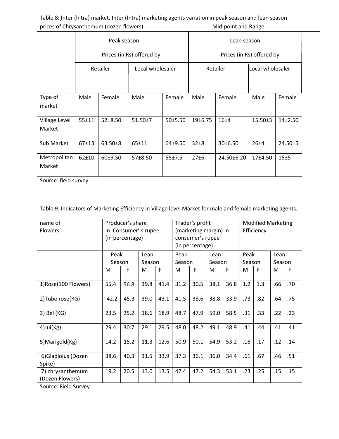Table 8: Inter (Intra) market, Inter (Intra) marketing agents variation in peak season and lean season prices of Chrysanthemum (dozen flowers). The mass of Chrysanthemum (dozen flowers).

|                         |           | Peak season   |                           |         | Lean season               |                  |                  |           |  |  |
|-------------------------|-----------|---------------|---------------------------|---------|---------------------------|------------------|------------------|-----------|--|--|
|                         |           |               | Prices (in Rs) offered by |         | Prices (in Rs) offered by |                  |                  |           |  |  |
|                         |           | Retailer      | Local wholesaler          |         |                           | Retailer         | Local wholesaler |           |  |  |
|                         |           |               |                           |         |                           |                  |                  |           |  |  |
| Type of<br>market       | Male      | Female        | Male                      | Female  | Male                      | Female           | Male             | Female    |  |  |
| Village Level<br>Market | $55 + 11$ | $52 \pm 8.50$ | $51.50{\pm}7$             | 50±5.50 | 19±6.75                   | 16 <sub>±4</sub> | 15.50±3          | $14+2.50$ |  |  |
| Sub Market              | $67 + 13$ | $63.50 \pm 8$ | $65 + 11$                 | 64±9.50 | $32\pm8$                  | 30±6.50          | $26 + 4$         | 24.50±5   |  |  |
| Metropolitan<br>Market  | $62 + 10$ | 60±9.50       | 57±8.50                   | 55±7.5  | 27±6                      | 24.50±6.20       | 17±4.50          | 15±5      |  |  |

Source: field survey

Table 9: Indicators of Marketing Efficiency in Village level Market for male and female marketing agents.

| name of             |                 | Producer's share    | Trader's profit       |      |                 |                  | <b>Modified Marketing</b> |      |        |     |        |      |  |
|---------------------|-----------------|---------------------|-----------------------|------|-----------------|------------------|---------------------------|------|--------|-----|--------|------|--|
| <b>Flowers</b>      |                 | In Consumer's rupee | (marketing margin) in |      |                 |                  | Efficiency                |      |        |     |        |      |  |
|                     | (in percentage) |                     |                       |      |                 | consumer's rupee |                           |      |        |     |        |      |  |
|                     |                 |                     |                       |      | (in percentage) |                  |                           |      |        |     |        |      |  |
|                     | Peak            |                     | Lean                  |      | Peak            |                  | Lean                      |      | Peak   |     |        | Lean |  |
|                     | Season          |                     | Season                |      | Season          |                  | Season                    |      | Season |     | Season |      |  |
|                     | M               | F                   | M                     | F    | M               | F                | M                         | F    | M      | F   | M      | F    |  |
| 1)Rose(100 Flowers) | 55.4            | 56.8                | 39.8                  | 41.4 | 31.2            | 30.5             | 38.1                      | 36.8 | 1.2    | 1.3 | .66    | .70  |  |
| 2) Tube rose(KG)    | 42.2            | 45.3                | 39.0                  | 43.1 | 41.5            | 38.6             | 38.8                      | 33.9 | .73    | .82 | .64    | .75  |  |
| 3) Bel (KG)         | 23.5            | 25.2                | 18.6                  | 18.9 | 48.7            | 47.9             | 59.0                      | 58.5 | .31    | .33 | .22    | .23  |  |
| $4)$ Jui $(Kg)$     | 29.4            | 30.7                | 29.1                  | 29.5 | 48.0            | 48.2             | 49.1                      | 48.9 | .41    | .44 | .41    | .41  |  |
| 5) Marigold (Kg)    | 14.2            | 15.2                | 11.3                  | 12.6 | 50.9            | 50.1             | 54.9                      | 53.2 | .16    | .17 | .12    | .14  |  |
| 6) Gladiolus (Dozen | 38.6            | 40.3                | 31.5                  | 33.9 | 37.3            | 36.1             | 36.0                      | 34.4 | .61    | .67 | .46    | .51  |  |
| Spike)              |                 |                     |                       |      |                 |                  |                           |      |        |     |        |      |  |
| 7) chrysanthemum    | 19.2            | 20.5                | 13.0                  | 13.5 | 47.4            | 47.2             | 54.3                      | 53.1 | .23    | .25 | .15    | .15  |  |
| (Dozen Flowers)     |                 |                     |                       |      |                 |                  |                           |      |        |     |        |      |  |

Source: Field Survey